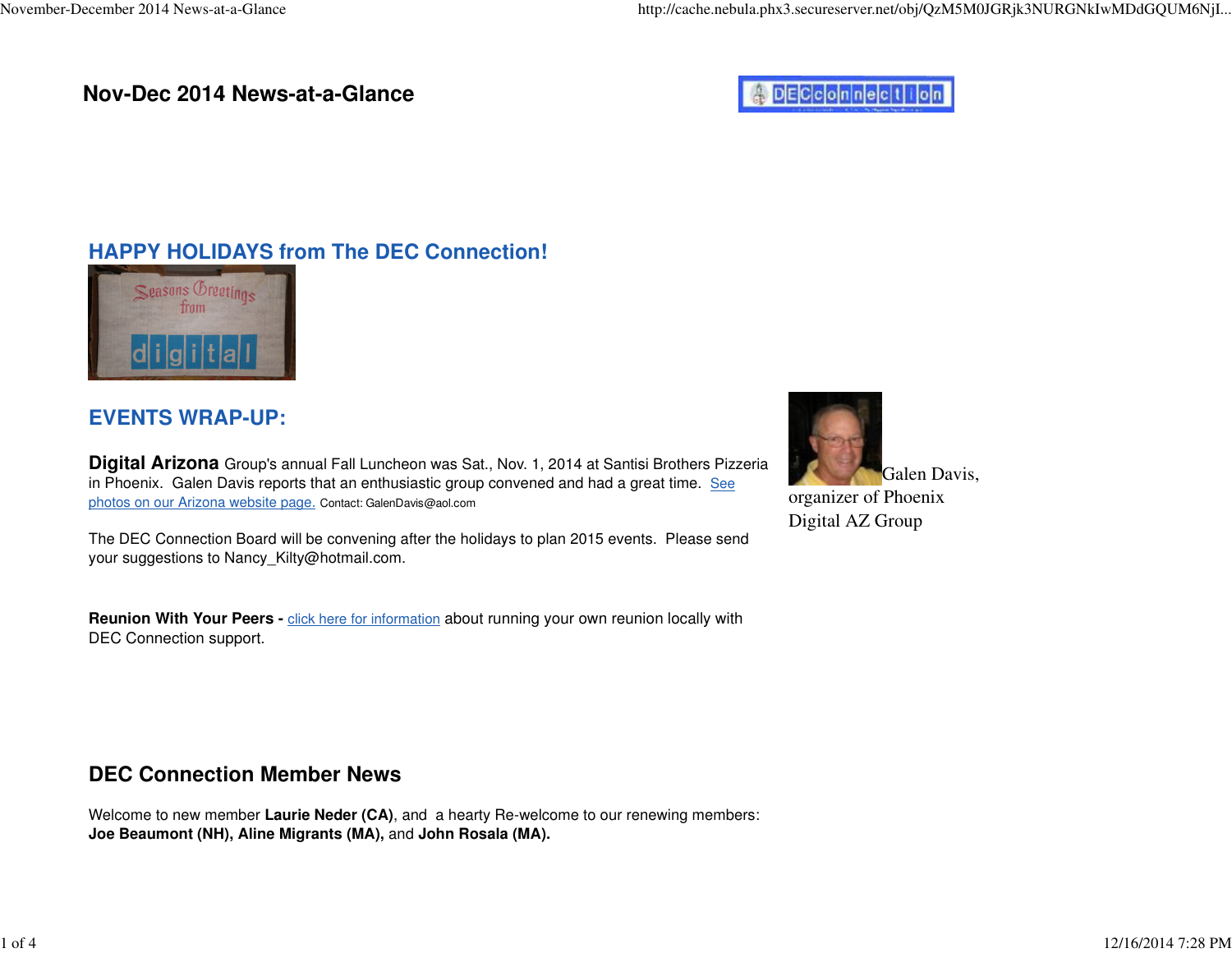### **Nov-Dec 2014 News-at-a-Glance**

# **ADECconnection**

## **HAPPY HOLIDAYS from The DEC Connection!**



## **EVENTS WRAP-UP:**

**Digital Arizona** Group's annual Fall Luncheon was Sat., Nov. 1, 2014 at Santisi Brothers Pizzeriain Phoenix. Galen Davis reports that an enthusiastic group convened and had a great time. Seephotos on our Arizona website page. Contact: [GalenDavis@aol.com](mailto:GalenDavis@aol.com)

The DEC Connection Board will be convening after the holidays to plan 2015 events. Please sendyour suggestions to Nancy[\\_Kilty@hotmail.com.](mailto:Kilty@hotmail.com)

**Reunion With Your Peers -** click here for information about running your own reunion locally withDEC Connection support.

## **DEC Connection Member News**

Welcome to new member **Laurie Neder (CA)**, and a hearty Re-welcome to our renewing members:**Joe Beaumont (NH), Aline Migrants (MA),** and **John Rosala (MA).**

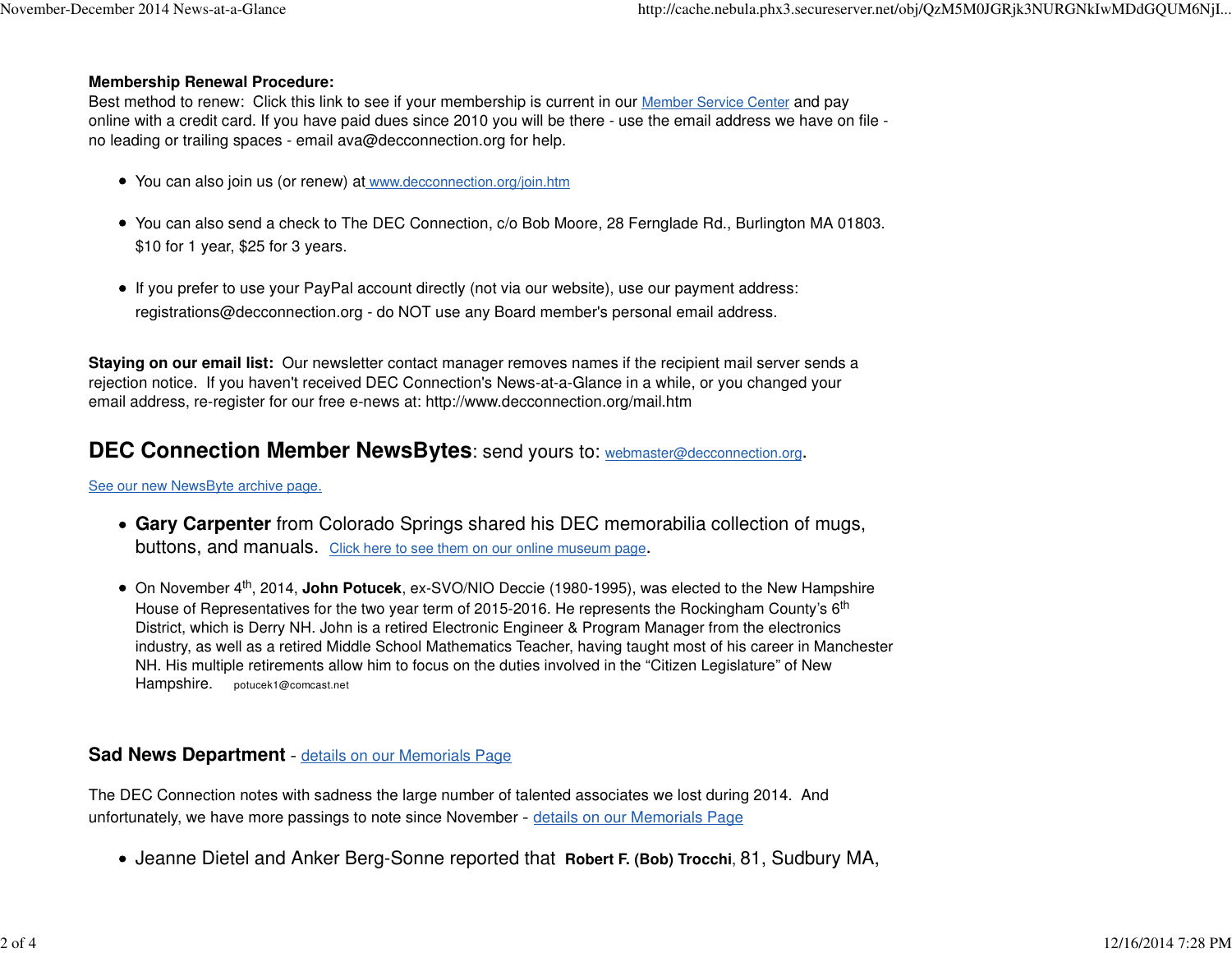#### **Membership Renewal Procedure:**

Best method to renew: Click this link to see if your membership is current in our **Member Service Center** and pay online with a credit card. If you have paid dues since 2010 you will be there - use the email address we have on file no leading or trailing spaces - email [ava@decconnection.org](mailto:ava@decconnection.org) for help.

- You can also join us (or renew) at [www.decconnection.org/join.htm](http://www.decconnection.org/join.htm)
- You can also send a check to The DEC Connection, c/o Bob Moore, 28 Fernglade Rd., Burlington MA 01803.\$10 for 1 year, \$25 for 3 years.
- If you prefer to use your PayPal account directly (not via our website), use our payment address:[registrations@decconnection.org](mailto:registrations@decconnection.org) - do NOT use any Board member's personal email address.

**Staying on our email list:** Our newsletter contact manager removes names if the recipient mail server sends arejection notice. If you haven't received DEC Connection's News-at-a-Glance in a while, or you changed youremail address, re-register for our free e-news at: <http://www.decconnection.org/mail.htm>

### **DEC Connection Member NewsBytes**: send yours to: [webmaster@decconnection.org](mailto:webmaster@decconnection.org).

See our new NewsByte archive page.

- **Gary Carpenter** from Colorado Springs shared his DEC memorabilia collection of mugs,buttons, and manuals. Click here to see them on our online museum page.
- On November 4th, 2014, **John Potucek**, ex-SVO/NIO Deccie (1980-1995), was elected to the New HampshireHouse of Representatives for the two year term of 2015-2016. He represents the Rockingham County's 6<sup>th</sup> District, which is Derry NH. John is a retired Electronic Engineer & Program Manager from the electronics industry, as well as a retired Middle School Mathematics Teacher, having taught most of his career in ManchesterNH. His multiple retirements allow him to focus on the duties involved in the "Citizen Legislature" of NewHampshire. [potucek1@comcast.net](mailto:potucek1@comcast.net)

### **Sad News Department** - details on our Memorials Page

The DEC Connection notes with sadness the large number of talented associates we lost during 2014. Andunfortunately, we have more passings to note since November - details on our Memorials Page

Jeanne Dietel and Anker Berg-Sonne reported that **Robert F. (Bob) Trocchi**, 81, Sudbury MA,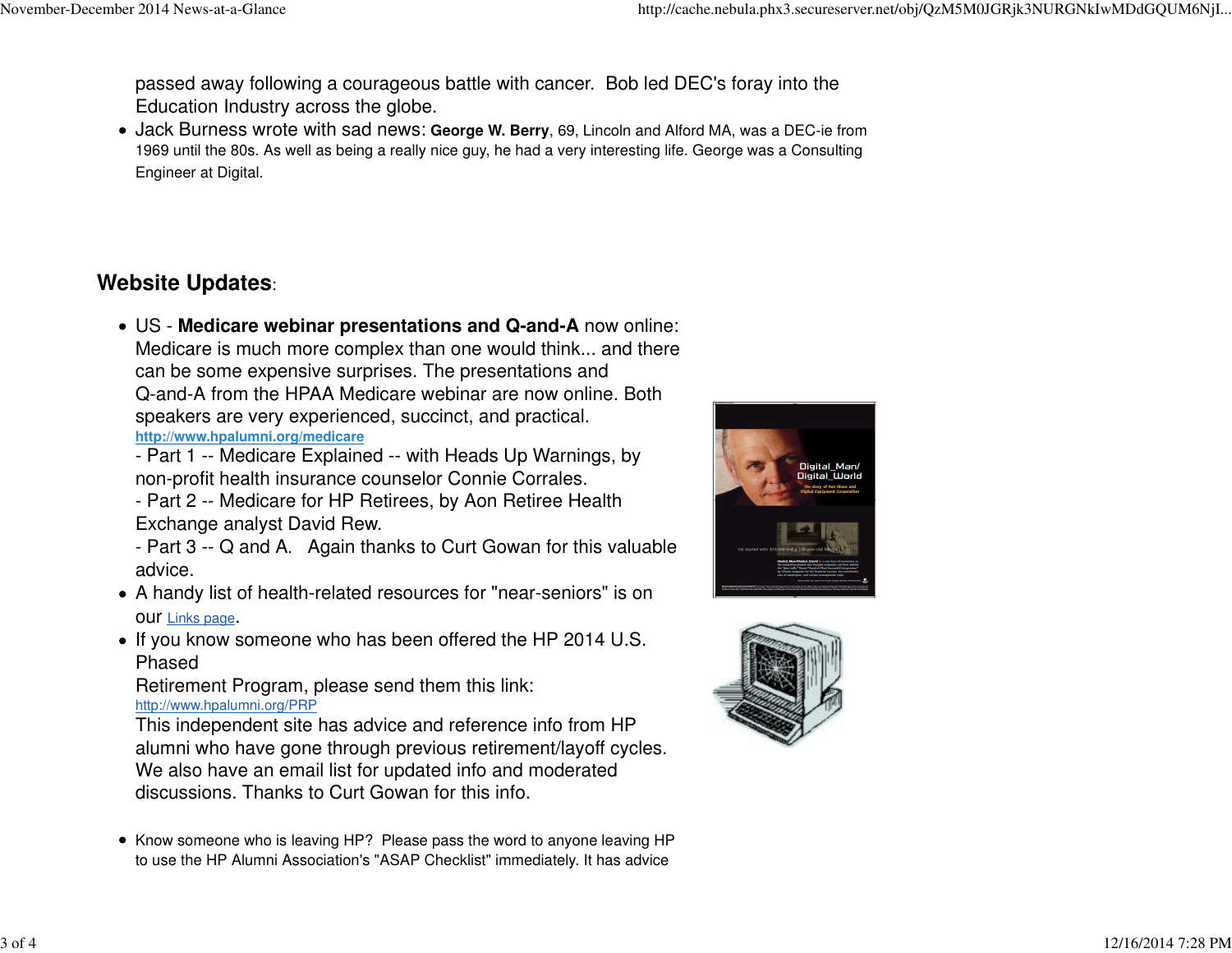passed away following a courageous battle with cancer. Bob led DEC's foray into theEducation Industry across the globe.

Jack Burness wrote with sad news: **[George](news:George) W. Berry**, 69, Lincoln and Alford MA, was a DEC-ie from 1969 until the 80s. As well as being [a really](news:George) nice guy, he had a very interesting life. George was a ConsultingEngineer at Digital.

## **Website Updates**:

- US - **Medicare webinar presentations and Q-and-A** now online: Medicare is much more complex than one would think... and therecan be some expensive surprises. The presentations and Q-and-A from the HPAA Medicare webinar are now online. Bothspeakers are very experienced, succinct, and practical.**<http://www.hpalumni.org/medicare>**
	- Part 1 -- Medicare Explained -- with Heads Up Warnings, bynon-profit health insurance counselor Connie Corrales.
	- Part 2 -- Medicare for HP Retirees, by Aon Retiree HealthExchange analyst David Rew.
	- Part 3 -- Q and A. Again thanks to Curt Gowan for this valuableadvice.
- A handy list of health-related resources for "near-seniors" is onour Links page.
- If you know someone who has been offered the HP 2014 U.S. Phased

 Retirement Program, please send them this link:<http://www.hpalumni.org/PRP>

 This independent site has advice and reference info from HP alumni who have gone through previous retirement/layoff cycles.We also have an email list for updated info and moderateddiscussions. Thanks to Curt Gowan for this info.

• Know someone who is leaving HP? Please pass the word to anyone leaving HP to use the HP Alumni Association's "ASAP Checklist" immediately. It has advice